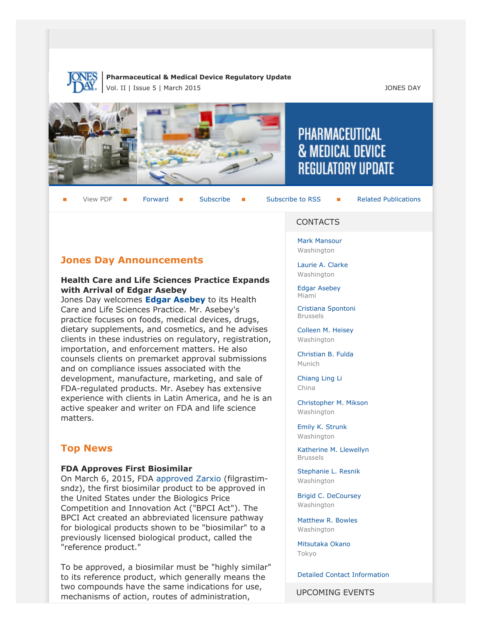

### **Pharmaceutical & Medical Device Regulatory Update** Vol. II | Issue 5 | March 2015 JONES DAY



View PDF **[Forward](http://thewritestuff.jonesday.com/cff/d7b88b9587bc740d1d159403cde42ce1b3f71f06/) Forward [Subscribe](http://www.jonesday.com/newsknowledge/publications.aspx) Gubscribe to RSS** [Related Publications](http://www.jonesday.com/experiencepractices/servicedetail.aspx?serviceid=593cb647-a5c4-49c3-9086-fedc34b24e1d§ion=Publications)

# **Jones Day Announcements**

### **Health Care and Life Sciences Practice Expands with Arrival of Edgar Asebey**

Jones Day welcomes **[Edgar Asebey](http://www.jonesday.com/easebey/)** to its Health Care and Life Sciences Practice. Mr. Asebey's practice focuses on foods, medical devices, drugs, dietary supplements, and cosmetics, and he advises clients in these industries on regulatory, registration, importation, and enforcement matters. He also counsels clients on premarket approval submissions and on compliance issues associated with the development, manufacture, marketing, and sale of FDA-regulated products. Mr. Asebey has extensive experience with clients in Latin America, and he is an active speaker and writer on FDA and life science matters.

# **Top News**

### <span id="page-0-0"></span>**FDA Approves First Biosimilar**

On March 6, 2015, FDA [approved Zarxio](http://www.fda.gov/NewsEvents/Newsroom/PressAnnouncements/ucm436648.htm?amp) (filgrastimsndz), the first biosimilar product to be approved in the United States under the Biologics Price Competition and Innovation Act ("BPCI Act"). The BPCI Act created an abbreviated licensure pathway for biological products shown to be "biosimilar" to a previously licensed biological product, called the "reference product."

To be approved, a biosimilar must be "highly similar" to its reference product, which generally means the two compounds have the same indications for use, mechanisms of action, routes of administration,

#### **CONTACTS**

PHARMACEUTICAL

**& MEDICAL DEVICE** 

**REGULATORY UPDATE** 

[Mark Mansour](http://www.jonesday.com/mmansour) Washington

[Laurie A. Clarke](http://www.jonesday.com/lclarke/) Washington

[Edgar Asebey](http://www.jonesday.com/easebey) Miami

[Cristiana Spontoni](http://www.jonesday.com/cspontoni) Brussels

[Colleen M. Heisey](http://www.jonesday.com/cmheisey) Washington

[Christian B. Fulda](http://www.jonesday.com/cfulda) Munich

[Chiang Ling Li](http://www.jonesday.com/chianglingli) China

[Christopher M. Mikson](http://www.jonesday.com/cmikson) Washington

[Emily K. Strunk](http://www.jonesday.com/estrunk) Washington

[Katherine M. Llewellyn](http://www.jonesday.com/kllewellyn) Brussels

[Stephanie L. Resnik](http://www.jonesday.com/sresnik) Washington

[Brigid C. DeCoursey](http://www.jonesday.com/bdecoursey) **Washington** 

[Matthew R. Bowles](http://www.jonesday.com/mbowles) **Washington** 

[Mitsutaka Okano](http://www.jonesday.com/mokano) Tokyo

[Detailed Contact Information](#page-7-0)

UPCOMING EVENTS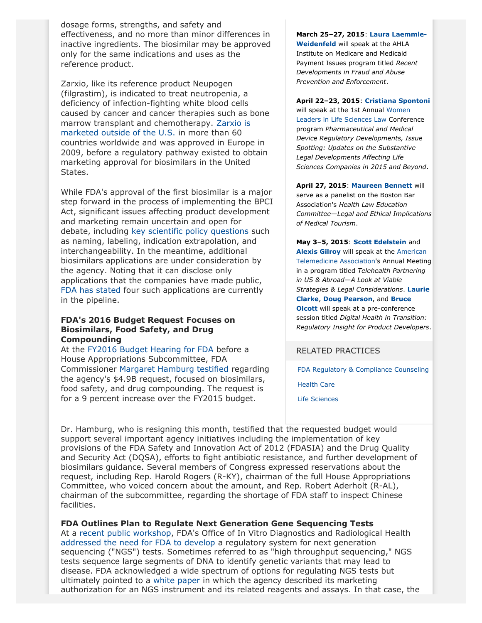dosage forms, strengths, and safety and effectiveness, and no more than minor differences in inactive ingredients. The biosimilar may be approved only for the same indications and uses as the reference product.

Zarxio, like its reference product Neupogen (filgrastim), is indicated to treat neutropenia, a deficiency of infection-fighting white blood cells caused by cancer and cancer therapies such as bone marrow transplant and chemotherapy. [Zarxio is](http://www.biosimilarnews.com/fda-approves-first-biosimilar-zarxio-filgrastim-sndz-from-sandoz) [marketed outside of the U.S.](http://www.biosimilarnews.com/fda-approves-first-biosimilar-zarxio-filgrastim-sndz-from-sandoz) in more than 60 countries worldwide and was approved in Europe in 2009, before a regulatory pathway existed to obtain marketing approval for biosimilars in the United States.

While FDA's approval of the first biosimilar is a major step forward in the process of implementing the BPCI Act, significant issues affecting product development and marketing remain uncertain and open for debate, including [key scientific policy questions](http://www.help.senate.gov/newsroom/press/release/?id=d3a2624c-2410-4d08-b76e-883592c3885a) such as naming, labeling, indication extrapolation, and interchangeability. In the meantime, additional biosimilars applications are under consideration by the agency. Noting that it can disclose only applications that the companies have made public, [FDA has stated](http://www.nytimes.com/2015/03/07/health/fda-approves-zarxio-first-biosimilar-drug.html?_r=1) four such applications are currently in the pipeline.

### **FDA's 2016 Budget Request Focuses on Biosimilars, Food Safety, and Drug Compounding**

At the [FY2016 Budget Hearing for FDA](http://appropriations.house.gov/calendar/eventsingle.aspx?EventID=394021) before a House Appropriations Subcommittee, FDA Commissioner [Margaret Hamburg testified](http://docs.house.gov/meetings/AP/AP01/20150304/103059/HHRG-114-AP01-Wstate-HamburgM-20150304.pdf) regarding the agency's \$4.9B request, focused on biosimilars, food safety, and drug compounding. The request is for a 9 percent increase over the FY2015 budget.

**March 25–27, 2015**: **[Laura Laemmle-](http://www.jonesday.com/lweidenfeld/)[Weidenfeld](http://www.jonesday.com/lweidenfeld/)** will speak at the AHLA Institute on Medicare and Medicaid Payment Issues program titled *Recent Developments in Fraud and Abuse Prevention and Enforcement*.

**April 22–23, 2015**: **[Cristiana Spontoni](http://www.jonesday.com/cspontoni/)**

will speak at the 1st Annual [Women](http://www.americanconference.com/2015/961/women-leaders-in-eu-life-sciences-law) [Leaders in Life Sciences Law](http://www.americanconference.com/2015/961/women-leaders-in-eu-life-sciences-law) Conference program *Pharmaceutical and Medical Device Regulatory Developments, Issue Spotting: Updates on the Substantive Legal Developments Affecting Life Sciences Companies in 2015 and Beyond*.

**April 27, 2015**: **[Maureen Bennett](http://www.jonesday.com/mbennett/)** will serve as a panelist on the Boston Bar Association's *Health Law Education Committee—Legal and Ethical Implications of Medical Tourism*.

**May 3–5, 2015**: **[Scott Edelstein](http://www.jonesday.com/sedelstein/)** and **[Alexis Gilroy](http://www.jonesday.com/agilroy/)** will speak at the [American](http://www.americantelemed.org/ata-2015/conference-overview#.VP7zo_kVihM) [Telemedicine Association](http://www.americantelemed.org/ata-2015/conference-overview#.VP7zo_kVihM)'s Annual Meeting in a program titled *Telehealth Partnering in US & Abroad—A Look at Viable Strategies & Legal Considerations*. **[Laurie](http://www.jonesday.com/lclarke/) [Clarke](http://www.jonesday.com/lclarke/)**, **[Doug Pearson](http://www.jonesday.com/dhpearson)**, and **[Bruce](http://www.jonesday.com/bolcott) [Olcott](http://www.jonesday.com/bolcott)** will speak at a pre-conference session titled *Digital Health in Transition: Regulatory Insight for Product Developers*.

# RELATED PRACTICES

[FDA Regulatory & Compliance Counseling](http://www.jonesday.com/fdaregulatoryandcompliancecounseling/)

[Health Care](http://www.jonesday.com/Health-Care-Practices)

[Life Sciences](http://www.jonesday.com/lifesciences/)

Dr. Hamburg, who is resigning this month, testified that the requested budget would support several important agency initiatives including the implementation of key provisions of the FDA Safety and Innovation Act of 2012 (FDASIA) and the Drug Quality and Security Act (DQSA), efforts to fight antibiotic resistance, and further development of biosimilars guidance. Several members of Congress expressed reservations about the request, including Rep. Harold Rogers (R-KY), chairman of the full House Appropriations Committee, who voiced concern about the amount, and Rep. Robert Aderholt (R-AL), chairman of the subcommittee, regarding the shortage of FDA staff to inspect Chinese facilities.

## **FDA Outlines Plan to Regulate Next Generation Gene Sequencing Tests**

At a [recent public workshop,](http://www.fda.gov/MedicalDevices/NewsEvents/WorkshopsConferences/ucm427296.htm) FDA's Office of In Vitro Diagnostics and Radiological Health [addressed the need for FDA to develop](http://videocast.nih.gov/launch.asp?18860) a regulatory system for next generation sequencing ("NGS") tests. Sometimes referred to as "high throughput sequencing," NGS tests sequence large segments of DNA to identify genetic variants that may lead to disease. FDA acknowledged a wide spectrum of options for regulating NGS tests but ultimately pointed to a [white paper](http://www.fda.gov/downloads/MedicalDevices/NewsEvents/WorkshopsConferences/UCM427869.pdf) in which the agency described its marketing authorization for an NGS instrument and its related reagents and assays. In that case, the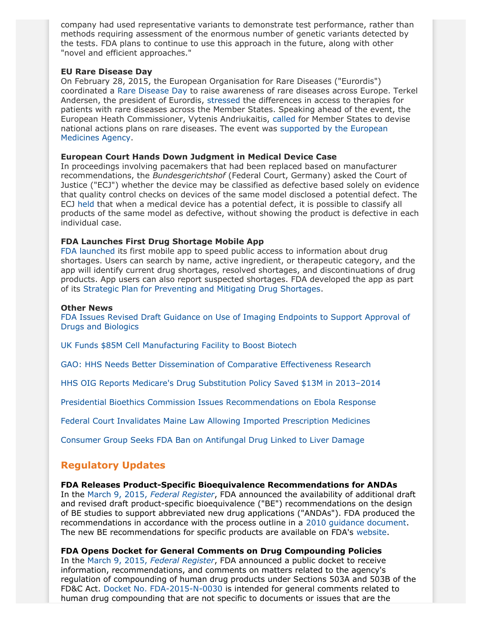company had used representative variants to demonstrate test performance, rather than methods requiring assessment of the enormous number of genetic variants detected by the tests. FDA plans to continue to use this approach in the future, along with other "novel and efficient approaches."

### **EU Rare Disease Day**

On February 28, 2015, the European Organisation for Rare Diseases ("Eurordis") coordinated a [Rare Disease Day](http://www.rarediseaseday.org/article/about-rare-disease-day) to raise awareness of rare diseases across Europe. Terkel Andersen, the president of Eurordis, [stressed](http://www.euractiv.com/sections/health-consumers/patient-organisation-unacceptable-differences-member-states-people-rare) the differences in access to therapies for patients with rare diseases across the Member States. Speaking ahead of the event, the European Heath Commissioner, Vytenis Andriukaitis, [called](http://www.euractiv.com/sections/health-consumers/health-commissioner-calls-national-plans-tackle-rare-diseases-312409) for Member States to devise national actions plans on rare diseases. The event was [supported by the European](http://www.ema.europa.eu/ema/index.jsp?curl=pages/news_and_events/news/2015/02/news_detail_002277.jsp&mid=WC0b01ac058004d5c1) [Medicines Agency](http://www.ema.europa.eu/ema/index.jsp?curl=pages/news_and_events/news/2015/02/news_detail_002277.jsp&mid=WC0b01ac058004d5c1).

### **European Court Hands Down Judgment in Medical Device Case**

In proceedings involving pacemakers that had been replaced based on manufacturer recommendations, the *Bundesgerichtshof* (Federal Court, Germany) asked the Court of Justice ("ECJ") whether the device may be classified as defective based solely on evidence that quality control checks on devices of the same model disclosed a potential defect. The ECJ [held](http://curia.europa.eu/jcms/upload/docs/application/pdf/2015-03/cp150031en.pdf) that when a medical device has a potential defect, it is possible to classify all products of the same model as defective, without showing the product is defective in each individual case.

### **FDA Launches First Drug Shortage Mobile App**

[FDA launched](http://www.fda.gov/NewsEvents/Newsroom/PressAnnouncements/ucm436481.htm) its first mobile app to speed public access to information about drug shortages. Users can search by name, active ingredient, or therapeutic category, and the app will identify current drug shortages, resolved shortages, and discontinuations of drug products. App users can also report suspected shortages. FDA developed the app as part of its [Strategic Plan for Preventing and Mitigating Drug Shortages](http://www.fda.gov/downloads/Drugs/DrugSafety/DrugShortages/UCM372566.pdf).

### **Other News**

[FDA Issues Revised Draft Guidance on Use of Imaging Endpoints to Support Approval of](http://www.fda.gov/downloads/drugs/guidancecomplianceregulatoryinformation/guidances/ucm268555.pdf) [Drugs and Biologics](http://www.fda.gov/downloads/drugs/guidancecomplianceregulatoryinformation/guidances/ucm268555.pdf)

[UK Funds \\$85M Cell Manufacturing Facility to Boost Biotech](http://www.fiercepharmamanufacturing.com/story/uk-starts-85m-cell-manufacturing-facility-sensitive-time/2015-03-03)

[GAO: HHS Needs Better Dissemination of Comparative Effectiveness Research](http://www.gao.gov/products/GAO-15-280)

[HHS OIG Reports Medicare's Drug Substitution Policy Saved \\$13M in 2013–2014](http://oig.hhs.gov/oei/reports/oei-03-14-00520.pdf)

[Presidential Bioethics Commission Issues Recommendations on Ebola Response](http://bioethics.gov/node/4637)

[Federal Court Invalidates Maine Law Allowing Imported Prescription Medicines](http://blogs.wsj.com/pharmalot/2015/02/25/judge-strikes-down-maine-law-for-importing-prescription-medicines/)

[Consumer Group Seeks FDA Ban on Antifungal Drug Linked to Liver Damage](http://www.foxbusiness.com/markets/2015/02/24/consumer-watchdog-asks-fda-to-ban-antifungal-tablets-linked-to-liver-damage/)

# **Regulatory Updates**

### **FDA Releases Product-Specific Bioequivalence Recommendations for ANDAs**

In the March 9, 2015, *[Federal Register](http://www.gpo.gov/fdsys/pkg/FR-2015-03-09/pdf/2015-05347.pdf)*, FDA announced the availability of additional draft and revised draft product-specific bioequivalence ("BE") recommendations on the design of BE studies to support abbreviated new drug applications ("ANDAs"). FDA produced the recommendations in accordance with the process outline in a [2010 guidance document](http://www.fda.gov/downloads/Drugs/GuidanceComplianceRegulatoryInformation/Guidances/UCM072872.pdf). The new BE recommendations for specific products are available on FDA's [website](http://www.fda.gov/Drugs/GuidanceComplianceRegulatoryInformation/Guidances/ucm075207.htm).

### **FDA Opens Docket for General Comments on Drug Compounding Policies**

In the March 9, 2015, *[Federal Register](http://www.gpo.gov/fdsys/pkg/FR-2015-03-09/pdf/2015-05376.pdf)*, FDA announced a public docket to receive information, recommendations, and comments on matters related to the agency's regulation of compounding of human drug products under Sections 503A and 503B of the FD&C Act. [Docket No. FDA-2015-N-0030](http://www.regulations.gov/#!docketDetail;D=FDA-2015-N-0030) is intended for general comments related to human drug compounding that are not specific to documents or issues that are the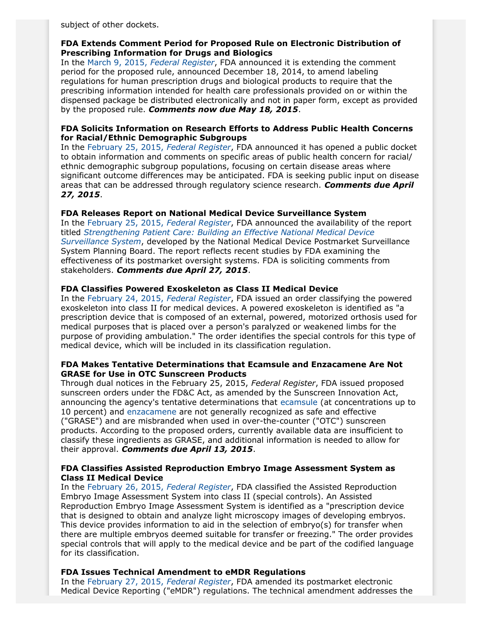subject of other dockets.

### **FDA Extends Comment Period for Proposed Rule on Electronic Distribution of Prescribing Information for Drugs and Biologics**

In the March 9, 2015, *[Federal Register](http://www.gpo.gov/fdsys/pkg/FR-2015-03-09/pdf/2015-05336.pdf)*, FDA announced it is extending the comment period for the proposed rule, announced December 18, 2014, to amend labeling regulations for human prescription drugs and biological products to require that the prescribing information intended for health care professionals provided on or within the dispensed package be distributed electronically and not in paper form, except as provided by the proposed rule. *Comments now due May 18, 2015*.

## **FDA Solicits Information on Research Efforts to Address Public Health Concerns for Racial/Ethnic Demographic Subgroups**

In the [February 25, 2015,](http://www.gpo.gov/fdsys/pkg/FR-2015-02-25/pdf/2015-03846.pdf) *Federal Register*, FDA announced it has opened a public docket to obtain information and comments on specific areas of public health concern for racial/ ethnic demographic subgroup populations, focusing on certain disease areas where significant outcome differences may be anticipated. FDA is seeking public input on disease areas that can be addressed through regulatory science research. *Comments due April 27, 2015*.

## **FDA Releases Report on National Medical Device Surveillance System**

In the [February 25, 2015,](http://www.gpo.gov/fdsys/pkg/FR-2015-02-25/pdf/2015-03886.pdf) *Federal Register*, FDA announced the availability of the report titled *[Strengthening Patient Care: Building an Effective National Medical Device](http://www.fda.gov/downloads/AboutFDA/CentersOffices/OfficeofMedicalProductsandTobacco/CDRH/CDRHReports/UCM435112.pdf) [Surveillance System](http://www.fda.gov/downloads/AboutFDA/CentersOffices/OfficeofMedicalProductsandTobacco/CDRH/CDRHReports/UCM435112.pdf)*, developed by the National Medical Device Postmarket Surveillance System Planning Board. The report reflects recent studies by FDA examining the effectiveness of its postmarket oversight systems. FDA is soliciting comments from stakeholders. *Comments due April 27, 2015*.

## **FDA Classifies Powered Exoskeleton as Class II Medical Device**

In the [February 24, 2015,](http://www.gpo.gov/fdsys/pkg/FR-2015-02-24/pdf/2015-03692.pdf) *Federal Register*, FDA issued an order classifying the powered exoskeleton into class II for medical devices. A powered exoskeleton is identified as "a prescription device that is composed of an external, powered, motorized orthosis used for medical purposes that is placed over a person's paralyzed or weakened limbs for the purpose of providing ambulation." The order identifies the special controls for this type of medical device, which will be included in its classification regulation.

### **FDA Makes Tentative Determinations that Ecamsule and Enzacamene Are Not GRASE for Use in OTC Sunscreen Products**

Through dual notices in the February 25, 2015, *Federal Register*, FDA issued proposed sunscreen orders under the FD&C Act, as amended by the Sunscreen Innovation Act, announcing the agency's tentative determinations that [ecamsule](http://www.gpo.gov/fdsys/pkg/FR-2015-02-25/pdf/2015-03883.pdf) (at concentrations up to 10 percent) and [enzacamene](http://www.gpo.gov/fdsys/pkg/FR-2015-02-25/pdf/2015-03884.pdf) are not generally recognized as safe and effective ("GRASE") and are misbranded when used in over-the-counter ("OTC") sunscreen products. According to the proposed orders, currently available data are insufficient to classify these ingredients as GRASE, and additional information is needed to allow for their approval. *Comments due April 13, 2015*.

### **FDA Classifies Assisted Reproduction Embryo Image Assessment System as Class II Medical Device**

In the [February 26, 2015,](http://www.gpo.gov/fdsys/pkg/FR-2015-02-26/pdf/2015-03934.pdf) *Federal Register*, FDA classified the Assisted Reproduction Embryo Image Assessment System into class II (special controls). An Assisted Reproduction Embryo Image Assessment System is identified as a "prescription device that is designed to obtain and analyze light microscopy images of developing embryos. This device provides information to aid in the selection of embryo(s) for transfer when there are multiple embryos deemed suitable for transfer or freezing." The order provides special controls that will apply to the medical device and be part of the codified language for its classification.

### **FDA Issues Technical Amendment to eMDR Regulations**

In the [February 27, 2015,](http://www.gpo.gov/fdsys/pkg/FR-2015-02-27/pdf/2015-03943.pdf) *Federal Register*, FDA amended its postmarket electronic Medical Device Reporting ("eMDR") regulations. The technical amendment addresses the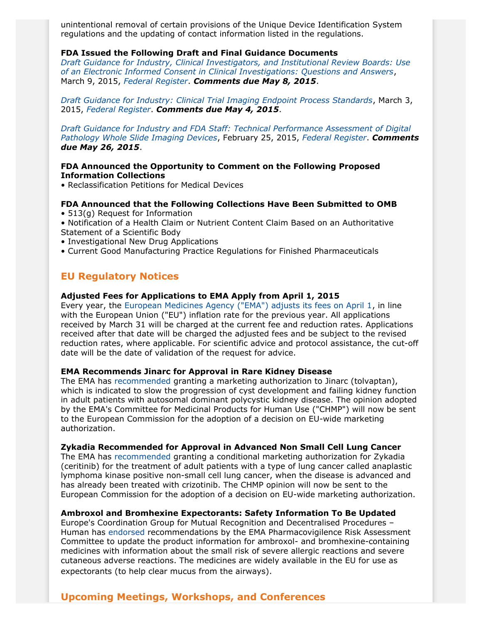unintentional removal of certain provisions of the Unique Device Identification System regulations and the updating of contact information listed in the regulations.

#### **FDA Issued the Following Draft and Final Guidance Documents**

*[Draft Guidance for Industry, Clinical Investigators, and Institutional Review Boards: Use](http://www.fda.gov/ucm/groups/fdagov-public/@fdagov-drugs-gen/documents/document/ucm436811.pdf) [of an Electronic Informed Consent in Clinical Investigations: Questions and Answers](http://www.fda.gov/ucm/groups/fdagov-public/@fdagov-drugs-gen/documents/document/ucm436811.pdf)*, March 9, 2015, *[Federal Register](http://www.gpo.gov/fdsys/pkg/FR-2015-03-09/pdf/2015-05377.pdf)*. *Comments due May 8, 2015*.

*[Draft Guidance for Industry: Clinical Trial Imaging Endpoint Process Standards](http://www.fda.gov/downloads/drugs/guidancecomplianceregulatoryinformation/guidances/ucm268555.pdf)*, March 3, 2015, *[Federal Register](http://www.gpo.gov/fdsys/pkg/FR-2015-03-05/pdf/2015-05016.pdf)*. *Comments due May 4, 2015*.

*[Draft Guidance for Industry and FDA Staff: Technical Performance Assessment of Digital](http://www.fda.gov/downloads/MedicalDevices/DeviceRegulationandGuidance/GuidanceDocuments/UCM435355.pdf) [Pathology Whole Slide Imaging Devices](http://www.fda.gov/downloads/MedicalDevices/DeviceRegulationandGuidance/GuidanceDocuments/UCM435355.pdf)*, February 25, 2015, *[Federal Register](http://www.gpo.gov/fdsys/pkg/FR-2015-02-25/pdf/2015-03843.pdf)*. *Comments due May 26, 2015*.

### **FDA Announced the Opportunity to Comment on the Following Proposed Information Collections**

• Reclassification Petitions for Medical Devices

## **FDA Announced that the Following Collections Have Been Submitted to OMB**

- 513(g) Request for Information
- Notification of a Health Claim or Nutrient Content Claim Based on an Authoritative Statement of a Scientific Body
- Investigational New Drug Applications
- Current Good Manufacturing Practice Regulations for Finished Pharmaceuticals

## **EU Regulatory Notices**

#### **Adjusted Fees for Applications to EMA Apply from April 1, 2015**

Every year, the [European Medicines Agency \("EMA"\) adjusts its fees on April 1,](http://www.ema.europa.eu/ema/index.jsp?curl=pages/news_and_events/news/2015/02/news_detail_002278.jsp&mid=WC0b01ac058004d5c1) in line with the European Union ("EU") inflation rate for the previous year. All applications received by March 31 will be charged at the current fee and reduction rates. Applications received after that date will be charged the adjusted fees and be subject to the revised reduction rates, where applicable. For scientific advice and protocol assistance, the cut-off date will be the date of validation of the request for advice.

### **EMA Recommends Jinarc for Approval in Rare Kidney Disease**

The EMA has [recommended](http://www.ema.europa.eu/ema/index.jsp?curl=pages/news_and_events/news/2015/02/news_detail_002280.jsp&mid=WC0b01ac058004d5c1) granting a marketing authorization to Jinarc (tolvaptan), which is indicated to slow the progression of cyst development and failing kidney function in adult patients with autosomal dominant polycystic kidney disease. The opinion adopted by the EMA's Committee for Medicinal Products for Human Use ("CHMP") will now be sent to the European Commission for the adoption of a decision on EU-wide marketing authorization.

#### **Zykadia Recommended for Approval in Advanced Non Small Cell Lung Cancer**

The EMA has [recommended](http://www.ema.europa.eu/ema/index.jsp?curl=pages/news_and_events/news/2015/02/news_detail_002279.jsp&mid=WC0b01ac058004d5c1) granting a conditional marketing authorization for Zykadia (ceritinib) for the treatment of adult patients with a type of lung cancer called anaplastic lymphoma kinase positive non-small cell lung cancer, when the disease is advanced and has already been treated with crizotinib. The CHMP opinion will now be sent to the European Commission for the adoption of a decision on EU-wide marketing authorization.

#### **Ambroxol and Bromhexine Expectorants: Safety Information To Be Updated**

Europe's Coordination Group for Mutual Recognition and Decentralised Procedures – Human has [endorsed](http://www.ema.europa.eu/ema/index.jsp?curl=pages/news_and_events/news/2015/02/news_detail_002276.jsp&mid=WC0b01ac058004d5c1) recommendations by the EMA Pharmacovigilence Risk Assessment Committee to update the product information for ambroxol- and bromhexine-containing medicines with information about the small risk of severe allergic reactions and severe cutaneous adverse reactions. The medicines are widely available in the EU for use as expectorants (to help clear mucus from the airways).

# **Upcoming Meetings, Workshops, and Conferences**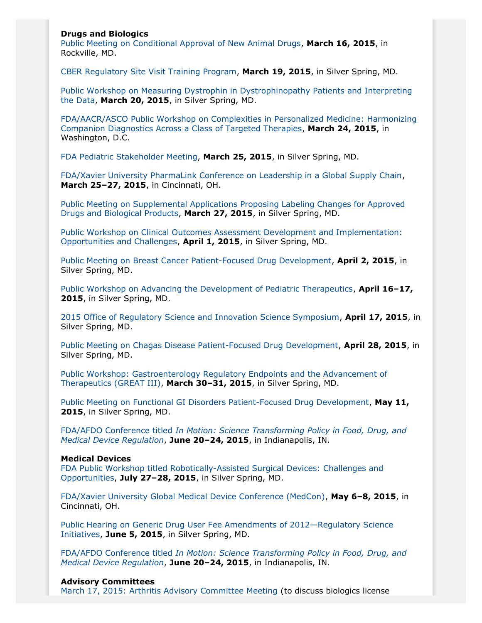### **Drugs and Biologics**

[Public Meeting on Conditional Approval of New Animal Drugs](http://www.gpo.gov/fdsys/pkg/FR-2015-02-13/pdf/2015-03004.pdf), **March 16, 2015**, in Rockville, MD.

[CBER Regulatory Site Visit Training Program,](http://www.gpo.gov/fdsys/pkg/FR-2015-02-17/pdf/2015-03117.pdf) **March 19, 2015**, in Silver Spring, MD.

[Public Workshop on Measuring Dystrophin in Dystrophinopathy Patients and Interpreting](http://www.gpo.gov/fdsys/pkg/FR-2015-03-03/pdf/2015-04384.pdf) [the Data,](http://www.gpo.gov/fdsys/pkg/FR-2015-03-03/pdf/2015-04384.pdf) **March 20, 2015**, in Silver Spring, MD.

[FDA/AACR/ASCO Public Workshop on Complexities in Personalized Medicine: Harmonizing](http://www.gpo.gov/fdsys/pkg/FR-2015-03-09/pdf/2015-05348.pdf) [Companion Diagnostics Across a Class of Targeted Therapies,](http://www.gpo.gov/fdsys/pkg/FR-2015-03-09/pdf/2015-05348.pdf) **March 24, 2015**, in Washington, D.C.

[FDA Pediatric Stakeholder Meeting](http://www.gpo.gov/fdsys/pkg/FR-2015-02-26/pdf/2015-03974.pdf), **March 25, 2015**, in Silver Spring, MD.

[FDA/Xavier University PharmaLink Conference on Leadership in a Global Supply Chain](http://www.fda.gov/Drugs/NewsEvents/ucm432948.htm), **March 25–27, 2015**, in Cincinnati, OH.

[Public Meeting on Supplemental Applications Proposing Labeling Changes for Approved](http://www.gpo.gov/fdsys/pkg/FR-2015-02-18/pdf/2015-03211.pdf) [Drugs and Biological Products,](http://www.gpo.gov/fdsys/pkg/FR-2015-02-18/pdf/2015-03211.pdf) **March 27, 2015**, in Silver Spring, MD.

[Public Workshop on Clinical Outcomes Assessment Development and Implementation:](http://www.gpo.gov/fdsys/pkg/FR-2015-03-05/pdf/2015-05017.pdf) [Opportunities and Challenges](http://www.gpo.gov/fdsys/pkg/FR-2015-03-05/pdf/2015-05017.pdf), **April 1, 2015**, in Silver Spring, MD.

[Public Meeting on Breast Cancer Patient-Focused Drug Development](http://www.fda.gov/Drugs/NewsEvents/ucm421313.htm), **April 2, 2015**, in Silver Spring, MD.

[Public Workshop on Advancing the Development of Pediatric Therapeutics,](http://www.gpo.gov/fdsys/pkg/FR-2015-03-03/pdf/2015-04376.pdf) **April 16–17, 2015**, in Silver Spring, MD.

[2015 Office of Regulatory Science and Innovation Science Symposium](http://www.gpo.gov/fdsys/pkg/FR-2015-02-27/pdf/2015-04123.pdf), **April 17, 2015**, in Silver Spring, MD.

[Public Meeting on Chagas Disease Patient-Focused Drug Development,](http://www.fda.gov/Drugs/NewsEvents/ucm420130.htm) **April 28, 2015**, in Silver Spring, MD.

[Public Workshop: Gastroenterology Regulatory Endpoints and the Advancement of](http://www.gpo.gov/fdsys/pkg/FR-2015-01-29/pdf/2015-01625.pdf) [Therapeutics \(GREAT III\)](http://www.gpo.gov/fdsys/pkg/FR-2015-01-29/pdf/2015-01625.pdf), **March 30–31, 2015**, in Silver Spring, MD.

[Public Meeting on Functional GI Disorders Patient-Focused Drug Development](http://www.fda.gov/ForIndustry/UserFees/PrescriptionDrugUserFee/ucm430885.htm), **May 11, 2015**, in Silver Spring, MD.

FDA/AFDO Conference titled *[In Motion: Science Transforming Policy in Food, Drug, and](http://www.gpo.gov/fdsys/pkg/FR-2015-02-17/pdf/2015-03115.pdf) [Medical Device Regulation](http://www.gpo.gov/fdsys/pkg/FR-2015-02-17/pdf/2015-03115.pdf)*, **June 20–24, 2015**, in Indianapolis, IN.

### **Medical Devices**

[FDA Public Workshop titled Robotically-Assisted Surgical Devices: Challenges and](http://www.gpo.gov/fdsys/pkg/FR-2015-02-25/pdf/2015-03769.pdf) [Opportunities](http://www.gpo.gov/fdsys/pkg/FR-2015-02-25/pdf/2015-03769.pdf), **July 27–28, 2015**, in Silver Spring, MD.

[FDA/Xavier University Global Medical Device Conference \(MedCon\)](http://www.gpo.gov/fdsys/pkg/FR-2015-02-17/pdf/2015-03116.pdf), **May 6–8, 2015**, in Cincinnati, OH.

[Public Hearing on Generic Drug User Fee Amendments of 2012—Regulatory Science](http://www.gpo.gov/fdsys/pkg/FR-2015-03-05/pdf/2015-05018.pdf) [Initiatives,](http://www.gpo.gov/fdsys/pkg/FR-2015-03-05/pdf/2015-05018.pdf) **June 5, 2015**, in Silver Spring, MD.

FDA/AFDO Conference titled *[In Motion: Science Transforming Policy in Food, Drug, and](http://www.gpo.gov/fdsys/pkg/FR-2015-02-17/pdf/2015-03115.pdf) [Medical Device Regulation](http://www.gpo.gov/fdsys/pkg/FR-2015-02-17/pdf/2015-03115.pdf)*, **June 20–24, 2015**, in Indianapolis, IN.

#### **Advisory Committees**

[March 17, 2015: Arthritis Advisory Committee Meeting](http://www.gpo.gov/fdsys/pkg/FR-2015-02-10/pdf/2015-02670.pdf) (to discuss biologics license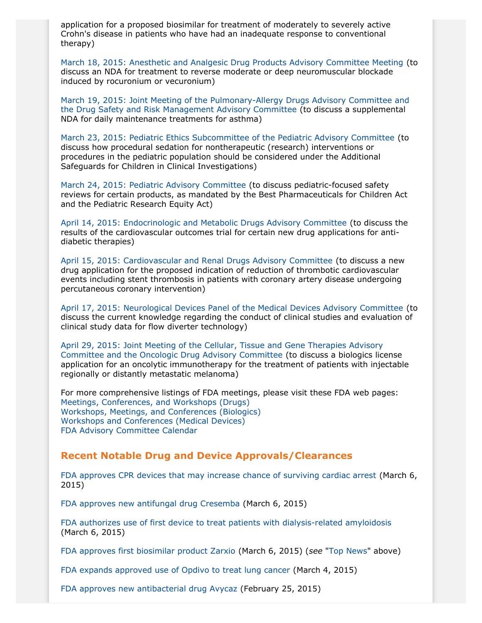application for a proposed biosimilar for treatment of moderately to severely active Crohn's disease in patients who have had an inadequate response to conventional therapy)

[March 18, 2015: Anesthetic and Analgesic Drug Products Advisory Committee Meeting](http://www.fda.gov/AdvisoryCommittees/Calendar/ucm433359.htm) (to discuss an NDA for treatment to reverse moderate or deep neuromuscular blockade induced by rocuronium or vecuronium)

[March 19, 2015: Joint Meeting of the Pulmonary-Allergy Drugs Advisory Committee and](http://www.gpo.gov/fdsys/pkg/FR-2015-02-09/pdf/2015-02554.pdf) [the Drug Safety and Risk Management Advisory Committee](http://www.gpo.gov/fdsys/pkg/FR-2015-02-09/pdf/2015-02554.pdf) (to discuss a supplemental NDA for daily maintenance treatments for asthma)

[March 23, 2015: Pediatric Ethics Subcommittee of the Pediatric Advisory Committee](http://www.gpo.gov/fdsys/pkg/FR-2015-02-25/pdf/2015-03900.pdf) (to discuss how procedural sedation for nontherapeutic (research) interventions or procedures in the pediatric population should be considered under the Additional Safeguards for Children in Clinical Investigations)

[March 24, 2015: Pediatric Advisory Committee](http://www.gpo.gov/fdsys/pkg/FR-2015-03-04/pdf/2015-04394.pdf) (to discuss pediatric-focused safety reviews for certain products, as mandated by the Best Pharmaceuticals for Children Act and the Pediatric Research Equity Act)

[April 14, 2015: Endocrinologic and Metabolic Drugs Advisory Committee](http://www.gpo.gov/fdsys/pkg/FR-2015-03-04/pdf/2015-04395.pdf) (to discuss the results of the cardiovascular outcomes trial for certain new drug applications for antidiabetic therapies)

[April 15, 2015: Cardiovascular and Renal Drugs Advisory Committee](http://www.gpo.gov/fdsys/pkg/FR-2015-02-27/pdf/2015-04128.pdf) (to discuss a new drug application for the proposed indication of reduction of thrombotic cardiovascular events including stent thrombosis in patients with coronary artery disease undergoing percutaneous coronary intervention)

[April 17, 2015: Neurological Devices Panel of the Medical Devices Advisory Committee](http://www.gpo.gov/fdsys/pkg/FR-2015-02-24/pdf/2015-03687.pdf) (to discuss the current knowledge regarding the conduct of clinical studies and evaluation of clinical study data for flow diverter technology)

[April 29, 2015: Joint Meeting of the Cellular, Tissue and Gene Therapies Advisory](http://www.gpo.gov/fdsys/pkg/FR-2015-02-12/pdf/2015-02910.pdf) [Committee and the Oncologic Drug Advisory Committee](http://www.gpo.gov/fdsys/pkg/FR-2015-02-12/pdf/2015-02910.pdf) (to discuss a biologics license application for an oncolytic immunotherapy for the treatment of patients with injectable regionally or distantly metastatic melanoma)

For more comprehensive listings of FDA meetings, please visit these FDA web pages: [Meetings, Conferences, and Workshops \(Drugs\)](http://www.fda.gov/drugs/newsevents/ucm132703.htm) [Workshops, Meetings, and Conferences \(Biologics\)](http://www.fda.gov/BiologicsBloodVaccines/NewsEvents/WorkshopsMeetingsConferences/ucm280422.htm) [Workshops and Conferences \(Medical Devices\)](http://www.fda.gov/MedicalDevices/NewsEvents/WorkshopsConferences/default.htm) [FDA Advisory Committee Calendar](http://www.fda.gov/AdvisoryCommittees/Calendar/default.htm)

# **Recent Notable Drug and Device Approvals/Clearances**

[FDA approves CPR devices that may increase chance of surviving cardiac arrest](http://www.fda.gov/NewsEvents/Newsroom/PressAnnouncements/ucm437247.htm) (March 6, 2015)

[FDA approves new antifungal drug Cresemba](http://www.fda.gov/NewsEvents/Newsroom/PressAnnouncements/ucm437106.htm) (March 6, 2015)

[FDA authorizes use of first device to treat patients with dialysis-related amyloidosis](http://www.fda.gov/NewsEvents/Newsroom/PressAnnouncements/ucm436864.htm) (March 6, 2015)

[FDA approves first biosimilar product Zarxio](http://www.fda.gov/NewsEvents/Newsroom/PressAnnouncements/ucm436648.htm) (March 6, 2015) (*see* "[Top News"](#page-0-0) above)

[FDA expands approved use of Opdivo to treat lung cancer](http://www.fda.gov/NewsEvents/Newsroom/PressAnnouncements/ucm436534.htm) (March 4, 2015)

[FDA approves new antibacterial drug Avycaz](http://www.fda.gov/NewsEvents/Newsroom/PressAnnouncements/ucm435629.htm) (February 25, 2015)